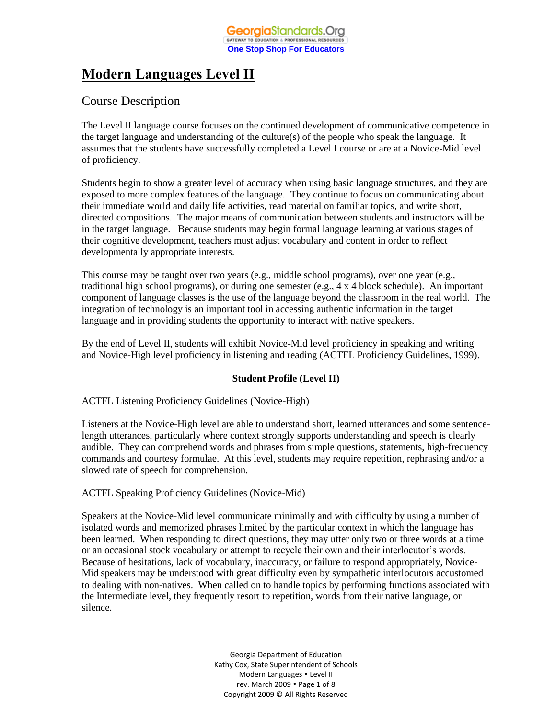# **Modern Languages Level II**

# Course Description

The Level II language course focuses on the continued development of communicative competence in the target language and understanding of the culture(s) of the people who speak the language. It assumes that the students have successfully completed a Level I course or are at a Novice-Mid level of proficiency.

Students begin to show a greater level of accuracy when using basic language structures, and they are exposed to more complex features of the language. They continue to focus on communicating about their immediate world and daily life activities, read material on familiar topics, and write short, directed compositions. The major means of communication between students and instructors will be in the target language. Because students may begin formal language learning at various stages of their cognitive development, teachers must adjust vocabulary and content in order to reflect developmentally appropriate interests.

This course may be taught over two years (e.g., middle school programs), over one year (e.g., traditional high school programs), or during one semester (e.g., 4 x 4 block schedule). An important component of language classes is the use of the language beyond the classroom in the real world. The integration of technology is an important tool in accessing authentic information in the target language and in providing students the opportunity to interact with native speakers.

By the end of Level II, students will exhibit Novice-Mid level proficiency in speaking and writing and Novice-High level proficiency in listening and reading (ACTFL Proficiency Guidelines, 1999).

# **Student Profile (Level II)**

ACTFL Listening Proficiency Guidelines (Novice-High)

Listeners at the Novice-High level are able to understand short, learned utterances and some sentencelength utterances, particularly where context strongly supports understanding and speech is clearly audible. They can comprehend words and phrases from simple questions, statements, high-frequency commands and courtesy formulae. At this level, students may require repetition, rephrasing and/or a slowed rate of speech for comprehension.

# ACTFL Speaking Proficiency Guidelines (Novice-Mid)

Speakers at the Novice-Mid level communicate minimally and with difficulty by using a number of isolated words and memorized phrases limited by the particular context in which the language has been learned. When responding to direct questions, they may utter only two or three words at a time or an occasional stock vocabulary or attempt to recycle their own and their interlocutor's words. Because of hesitations, lack of vocabulary, inaccuracy, or failure to respond appropriately, Novice-Mid speakers may be understood with great difficulty even by sympathetic interlocutors accustomed to dealing with non-natives. When called on to handle topics by performing functions associated with the Intermediate level, they frequently resort to repetition, words from their native language, or silence.

> Georgia Department of Education Kathy Cox, State Superintendent of Schools Modern Languages . Level II rev. March 2009 . Page 1 of 8 Copyright 2009 © All Rights Reserved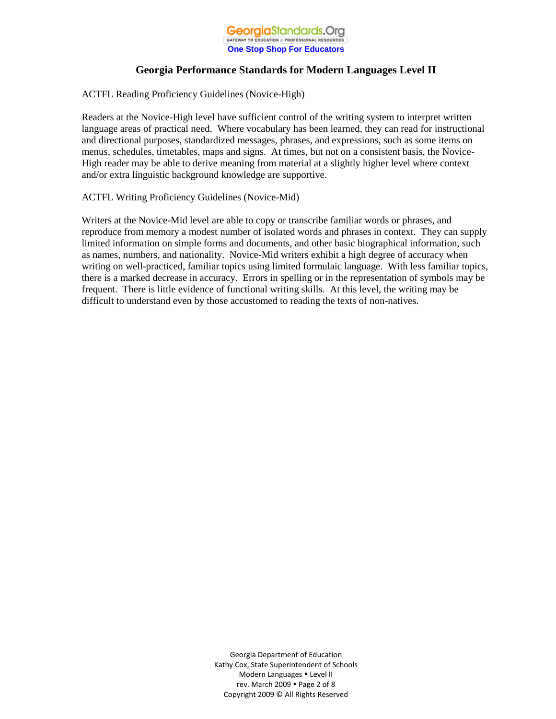

ACTFL Reading Proficiency Guidelines (Novice-High)

Readers at the Novice-High level have sufficient control of the writing system to interpret written language areas of practical need. Where vocabulary has been learned, they can read for instructional and directional purposes, standardized messages, phrases, and expressions, such as some items on menus, schedules, timetables, maps and signs. At times, but not on a consistent basis, the Novice-High reader may be able to derive meaning from material at a slightly higher level where context and/or extra linguistic background knowledge are supportive.

ACTFL Writing Proficiency Guidelines (Novice-Mid)

Writers at the Novice-Mid level are able to copy or transcribe familiar words or phrases, and reproduce from memory a modest number of isolated words and phrases in context. They can supply limited information on simple forms and documents, and other basic biographical information, such as names, numbers, and nationality. Novice-Mid writers exhibit a high degree of accuracy when writing on well-practiced, familiar topics using limited formulaic language. With less familiar topics, there is a marked decrease in accuracy. Errors in spelling or in the representation of symbols may be frequent. There is little evidence of functional writing skills. At this level, the writing may be difficult to understand even by those accustomed to reading the texts of non-natives.

> Georgia Department of Education Kathy Cox, State Superintendent of Schools Modern Languages Level II rev. March 2009 . Page 2 of 8 Copyright 2009 © All Rights Reserved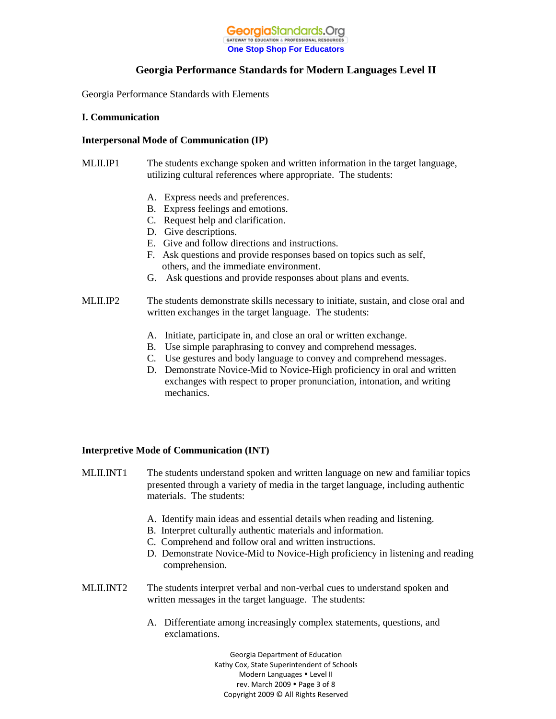

Georgia Performance Standards with Elements

#### **I. Communication**

#### **Interpersonal Mode of Communication (IP)**

- MLII.IP1 The students exchange spoken and written information in the target language, utilizing cultural references where appropriate. The students:
	- A. Express needs and preferences.
	- B. Express feelings and emotions.
	- C. Request help and clarification.
	- D. Give descriptions.
	- E. Give and follow directions and instructions.
	- F. Ask questions and provide responses based on topics such as self, others, and the immediate environment.
	- G. Ask questions and provide responses about plans and events.
- MLII.IP2 The students demonstrate skills necessary to initiate, sustain, and close oral and written exchanges in the target language. The students:
	- A. Initiate, participate in, and close an oral or written exchange.
	- B. Use simple paraphrasing to convey and comprehend messages.
	- C. Use gestures and body language to convey and comprehend messages.
	- D. Demonstrate Novice-Mid to Novice-High proficiency in oral and written exchanges with respect to proper pronunciation, intonation, and writing mechanics.

#### **Interpretive Mode of Communication (INT)**

- MLII.INT1 The students understand spoken and written language on new and familiar topics presented through a variety of media in the target language, including authentic materials. The students:
	- A. Identify main ideas and essential details when reading and listening.
	- B. Interpret culturally authentic materials and information.
	- C. Comprehend and follow oral and written instructions.
	- D. Demonstrate Novice-Mid to Novice-High proficiency in listening and reading comprehension.
- MLII.INT2 The students interpret verbal and non-verbal cues to understand spoken and written messages in the target language. The students:
	- A. Differentiate among increasingly complex statements, questions, and exclamations.

Georgia Department of Education Kathy Cox, State Superintendent of Schools Modern Languages . Level II rev. March 2009 . Page 3 of 8 Copyright 2009 © All Rights Reserved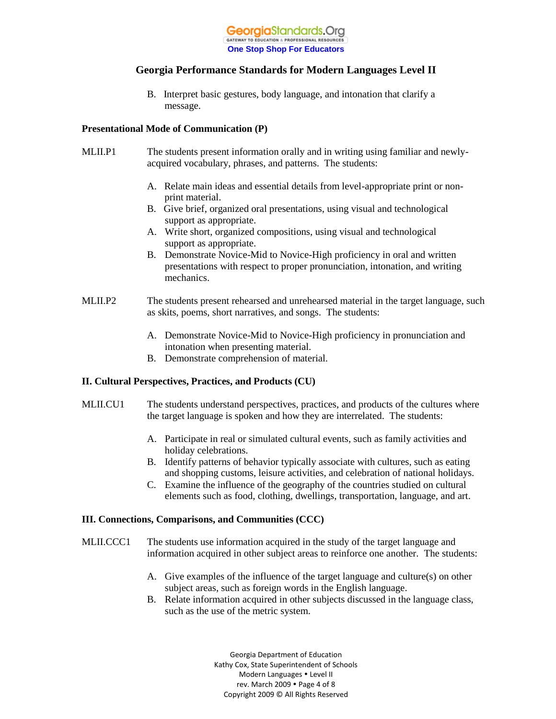

B. Interpret basic gestures, body language, and intonation that clarify a message.

#### **Presentational Mode of Communication (P)**

- MLII.P1 The students present information orally and in writing using familiar and newlyacquired vocabulary, phrases, and patterns. The students:
	- A. Relate main ideas and essential details from level-appropriate print or non print material.
	- B. Give brief, organized oral presentations, using visual and technological support as appropriate.
	- A. Write short, organized compositions, using visual and technological support as appropriate.
	- B. Demonstrate Novice-Mid to Novice-High proficiency in oral and written presentations with respect to proper pronunciation, intonation, and writing mechanics.
- MLII.P2 The students present rehearsed and unrehearsed material in the target language, such as skits, poems, short narratives, and songs. The students:
	- A. Demonstrate Novice-Mid to Novice-High proficiency in pronunciation and intonation when presenting material.
	- B. Demonstrate comprehension of material.

#### **II. Cultural Perspectives, Practices, and Products (CU)**

- MLII.CU1 The students understand perspectives, practices, and products of the cultures where the target language is spoken and how they are interrelated. The students:
	- A. Participate in real or simulated cultural events, such as family activities and holiday celebrations.
	- B. Identify patterns of behavior typically associate with cultures, such as eating and shopping customs, leisure activities, and celebration of national holidays.
	- C. Examine the influence of the geography of the countries studied on cultural elements such as food, clothing, dwellings, transportation, language, and art.

#### **III. Connections, Comparisons, and Communities (CCC)**

- MLII.CCC1 The students use information acquired in the study of the target language and information acquired in other subject areas to reinforce one another. The students:
	- A. Give examples of the influence of the target language and culture(s) on other subject areas, such as foreign words in the English language.
	- B. Relate information acquired in other subjects discussed in the language class, such as the use of the metric system.

Georgia Department of Education Kathy Cox, State Superintendent of Schools Modern Languages . Level II rev. March 2009 . Page 4 of 8 Copyright 2009 © All Rights Reserved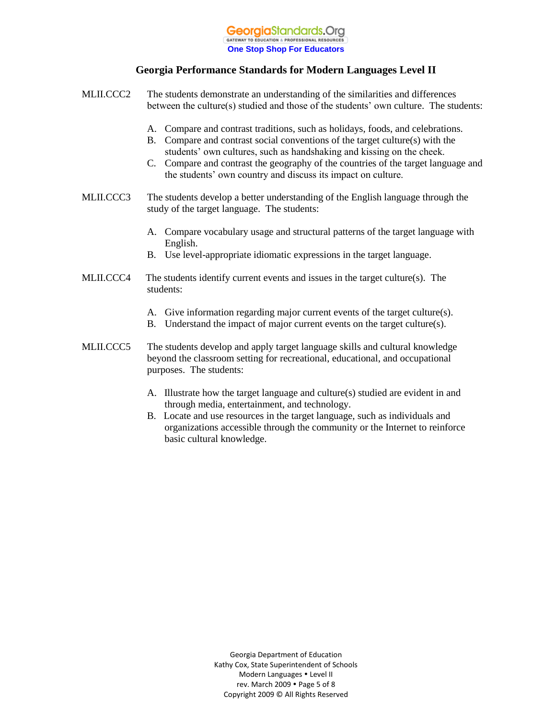

- MLII.CCC2 The students demonstrate an understanding of the similarities and differences between the culture(s) studied and those of the students' own culture. The students: A. Compare and contrast traditions, such as holidays, foods, and celebrations. B. Compare and contrast social conventions of the target culture(s) with the students' own cultures, such as handshaking and kissing on the cheek. C. Compare and contrast the geography of the countries of the target language and the students' own country and discuss its impact on culture. MLII.CCC3 The students develop a better understanding of the English language through the study of the target language. The students: A. Compare vocabulary usage and structural patterns of the target language with English. B. Use level-appropriate idiomatic expressions in the target language. MLII.CCC4 The students identify current events and issues in the target culture(s). The students: A. Give information regarding major current events of the target culture(s). B. Understand the impact of major current events on the target culture(s). MLII.CCC5 The students develop and apply target language skills and cultural knowledge beyond the classroom setting for recreational, educational, and occupational purposes. The students:
	- A. Illustrate how the target language and culture(s) studied are evident in and through media, entertainment, and technology.
	- B. Locate and use resources in the target language, such as individuals and organizations accessible through the community or the Internet to reinforce basic cultural knowledge.

Georgia Department of Education Kathy Cox, State Superintendent of Schools Modern Languages . Level II rev. March 2009 . Page 5 of 8 Copyright 2009 © All Rights Reserved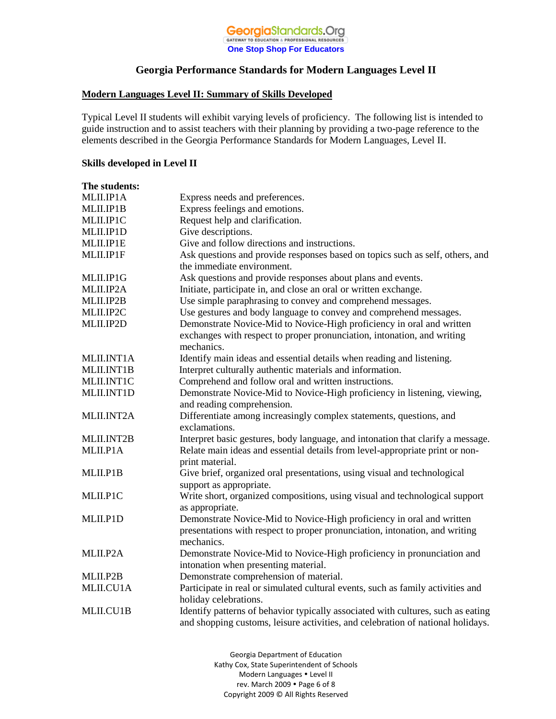

#### **Modern Languages Level II: Summary of Skills Developed**

Typical Level II students will exhibit varying levels of proficiency. The following list is intended to guide instruction and to assist teachers with their planning by providing a two-page reference to the elements described in the Georgia Performance Standards for Modern Languages, Level II.

#### **Skills developed in Level II**

| The students: |                                                                                                                                                                                       |
|---------------|---------------------------------------------------------------------------------------------------------------------------------------------------------------------------------------|
| MLII.IP1A     | Express needs and preferences.                                                                                                                                                        |
| MLII.IP1B     | Express feelings and emotions.                                                                                                                                                        |
| MLII.IP1C     | Request help and clarification.                                                                                                                                                       |
| MLII.IP1D     | Give descriptions.                                                                                                                                                                    |
| MLII.IP1E     | Give and follow directions and instructions.                                                                                                                                          |
| MLII.IP1F     | Ask questions and provide responses based on topics such as self, others, and<br>the immediate environment.                                                                           |
| MLII.IP1G     | Ask questions and provide responses about plans and events.                                                                                                                           |
| MLII.IP2A     | Initiate, participate in, and close an oral or written exchange.                                                                                                                      |
| MLII.IP2B     | Use simple paraphrasing to convey and comprehend messages.                                                                                                                            |
| MLII.IP2C     | Use gestures and body language to convey and comprehend messages.                                                                                                                     |
| MLII.IP2D     | Demonstrate Novice-Mid to Novice-High proficiency in oral and written<br>exchanges with respect to proper pronunciation, intonation, and writing<br>mechanics.                        |
| MLII.INT1A    | Identify main ideas and essential details when reading and listening.                                                                                                                 |
| MLII.INT1B    | Interpret culturally authentic materials and information.                                                                                                                             |
| MLII.INT1C    | Comprehend and follow oral and written instructions.                                                                                                                                  |
| MLII.INT1D    | Demonstrate Novice-Mid to Novice-High proficiency in listening, viewing,<br>and reading comprehension.                                                                                |
| MLII.INT2A    | Differentiate among increasingly complex statements, questions, and<br>exclamations.                                                                                                  |
| MLII.INT2B    | Interpret basic gestures, body language, and intonation that clarify a message.                                                                                                       |
| MLII.P1A      | Relate main ideas and essential details from level-appropriate print or non-<br>print material.                                                                                       |
| MLII.P1B      | Give brief, organized oral presentations, using visual and technological<br>support as appropriate.                                                                                   |
| MLII.P1C      | Write short, organized compositions, using visual and technological support                                                                                                           |
| MLII.P1D      | as appropriate.<br>Demonstrate Novice-Mid to Novice-High proficiency in oral and written<br>presentations with respect to proper pronunciation, intonation, and writing<br>mechanics. |
| MLII.P2A      | Demonstrate Novice-Mid to Novice-High proficiency in pronunciation and<br>intonation when presenting material.                                                                        |
| MLII.P2B      | Demonstrate comprehension of material.                                                                                                                                                |
| MLII.CU1A     | Participate in real or simulated cultural events, such as family activities and                                                                                                       |
|               | holiday celebrations.                                                                                                                                                                 |
| MLII.CU1B     | Identify patterns of behavior typically associated with cultures, such as eating<br>and shopping customs, leisure activities, and celebration of national holidays.                   |

Georgia Department of Education Kathy Cox, State Superintendent of Schools Modern Languages . Level II rev. March 2009 . Page 6 of 8 Copyright 2009 © All Rights Reserved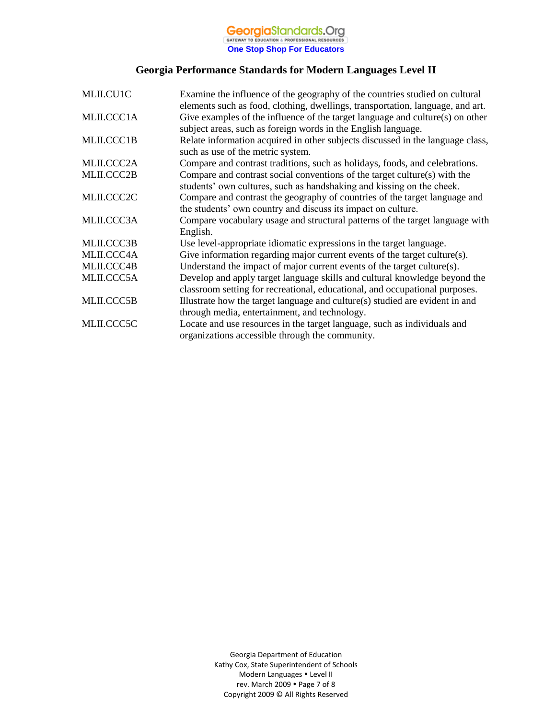# **GeorgiaStandards.Org**<br> **One Stop Shop For Educators**

# **Georgia Performance Standards for Modern Languages Level II**

| MLII.CU1C  | Examine the influence of the geography of the countries studied on cultural<br>elements such as food, clothing, dwellings, transportation, language, and art. |
|------------|---------------------------------------------------------------------------------------------------------------------------------------------------------------|
| MLII.CCC1A | Give examples of the influence of the target language and culture(s) on other<br>subject areas, such as foreign words in the English language.                |
| MLII.CCC1B | Relate information acquired in other subjects discussed in the language class,<br>such as use of the metric system.                                           |
| MLII.CCC2A | Compare and contrast traditions, such as holidays, foods, and celebrations.                                                                                   |
| MLII.CCC2B | Compare and contrast social conventions of the target culture(s) with the<br>students' own cultures, such as handshaking and kissing on the cheek.            |
| MLII.CCC2C | Compare and contrast the geography of countries of the target language and<br>the students' own country and discuss its impact on culture.                    |
| MLII.CCC3A | Compare vocabulary usage and structural patterns of the target language with<br>English.                                                                      |
| MLII.CCC3B | Use level-appropriate idiomatic expressions in the target language.                                                                                           |
| MLII.CCC4A | Give information regarding major current events of the target culture(s).                                                                                     |
| MLII.CCC4B | Understand the impact of major current events of the target culture(s).                                                                                       |
| MLII.CCC5A | Develop and apply target language skills and cultural knowledge beyond the<br>classroom setting for recreational, educational, and occupational purposes.     |
| MLII.CCC5B | Illustrate how the target language and culture(s) studied are evident in and<br>through media, entertainment, and technology.                                 |
| MLII.CCC5C | Locate and use resources in the target language, such as individuals and<br>organizations accessible through the community.                                   |

Georgia Department of Education Kathy Cox, State Superintendent of Schools Modern Languages Level II rev. March 2009 . Page 7 of 8 Copyright 2009 © All Rights Reserved